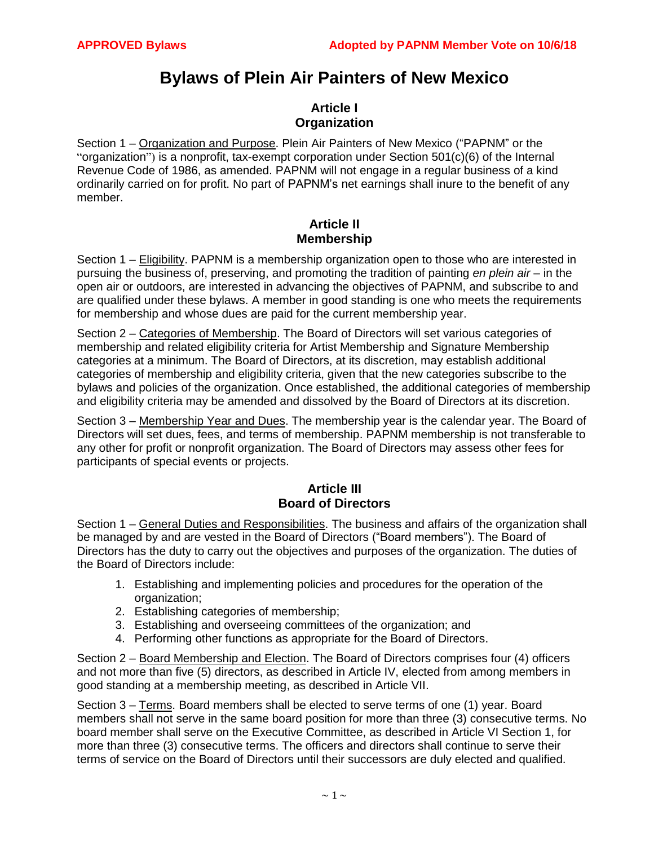# **Bylaws of Plein Air Painters of New Mexico**

## **Article I Organization**

Section 1 – Organization and Purpose. Plein Air Painters of New Mexico ("PAPNM" or the "organization") is a nonprofit, tax-exempt corporation under Section 501(c)(6) of the Internal Revenue Code of 1986, as amended. PAPNM will not engage in a regular business of a kind ordinarily carried on for profit. No part of PAPNM's net earnings shall inure to the benefit of any member.

### **Article II Membership**

Section 1 – Eligibility. PAPNM is a membership organization open to those who are interested in pursuing the business of, preserving, and promoting the tradition of painting *en plein air* – in the open air or outdoors, are interested in advancing the objectives of PAPNM, and subscribe to and are qualified under these bylaws. A member in good standing is one who meets the requirements for membership and whose dues are paid for the current membership year.

Section 2 – Categories of Membership. The Board of Directors will set various categories of membership and related eligibility criteria for Artist Membership and Signature Membership categories at a minimum. The Board of Directors, at its discretion, may establish additional categories of membership and eligibility criteria, given that the new categories subscribe to the bylaws and policies of the organization. Once established, the additional categories of membership and eligibility criteria may be amended and dissolved by the Board of Directors at its discretion.

Section 3 – Membership Year and Dues. The membership year is the calendar year. The Board of Directors will set dues, fees, and terms of membership. PAPNM membership is not transferable to any other for profit or nonprofit organization. The Board of Directors may assess other fees for participants of special events or projects.

## **Article III Board of Directors**

Section 1 – General Duties and Responsibilities. The business and affairs of the organization shall be managed by and are vested in the Board of Directors ("Board members"). The Board of Directors has the duty to carry out the objectives and purposes of the organization. The duties of the Board of Directors include:

- 1. Establishing and implementing policies and procedures for the operation of the organization;
- 2. Establishing categories of membership;
- 3. Establishing and overseeing committees of the organization; and
- 4. Performing other functions as appropriate for the Board of Directors.

Section 2 – Board Membership and Election. The Board of Directors comprises four (4) officers and not more than five (5) directors, as described in Article IV, elected from among members in good standing at a membership meeting, as described in Article VII.

Section 3 – Terms. Board members shall be elected to serve terms of one (1) year. Board members shall not serve in the same board position for more than three (3) consecutive terms. No board member shall serve on the Executive Committee, as described in Article VI Section 1, for more than three (3) consecutive terms. The officers and directors shall continue to serve their terms of service on the Board of Directors until their successors are duly elected and qualified.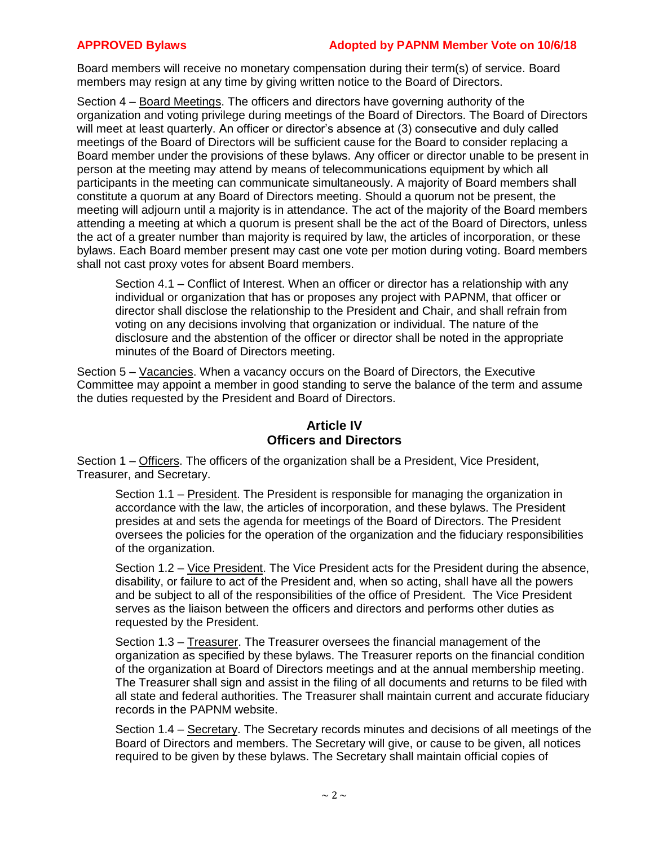### **APPROVED Bylaws Adopted by PAPNM Member Vote on 10/6/18**

Board members will receive no monetary compensation during their term(s) of service. Board members may resign at any time by giving written notice to the Board of Directors.

Section 4 – Board Meetings. The officers and directors have governing authority of the organization and voting privilege during meetings of the Board of Directors. The Board of Directors will meet at least quarterly. An officer or director's absence at (3) consecutive and duly called meetings of the Board of Directors will be sufficient cause for the Board to consider replacing a Board member under the provisions of these bylaws. Any officer or director unable to be present in person at the meeting may attend by means of telecommunications equipment by which all participants in the meeting can communicate simultaneously. A majority of Board members shall constitute a quorum at any Board of Directors meeting. Should a quorum not be present, the meeting will adjourn until a majority is in attendance. The act of the majority of the Board members attending a meeting at which a quorum is present shall be the act of the Board of Directors, unless the act of a greater number than majority is required by law, the articles of incorporation, or these bylaws. Each Board member present may cast one vote per motion during voting. Board members shall not cast proxy votes for absent Board members.

Section 4.1 – Conflict of Interest. When an officer or director has a relationship with any individual or organization that has or proposes any project with PAPNM, that officer or director shall disclose the relationship to the President and Chair, and shall refrain from voting on any decisions involving that organization or individual. The nature of the disclosure and the abstention of the officer or director shall be noted in the appropriate minutes of the Board of Directors meeting.

Section 5 – Vacancies. When a vacancy occurs on the Board of Directors, the Executive Committee may appoint a member in good standing to serve the balance of the term and assume the duties requested by the President and Board of Directors.

## **Article IV Officers and Directors**

Section 1 – Officers. The officers of the organization shall be a President, Vice President, Treasurer, and Secretary.

Section 1.1 – President. The President is responsible for managing the organization in accordance with the law, the articles of incorporation, and these bylaws. The President presides at and sets the agenda for meetings of the Board of Directors. The President oversees the policies for the operation of the organization and the fiduciary responsibilities of the organization.

Section 1.2 – Vice President. The Vice President acts for the President during the absence, disability, or failure to act of the President and, when so acting, shall have all the powers and be subject to all of the responsibilities of the office of President. The Vice President serves as the liaison between the officers and directors and performs other duties as requested by the President.

Section 1.3 – Treasurer. The Treasurer oversees the financial management of the organization as specified by these bylaws. The Treasurer reports on the financial condition of the organization at Board of Directors meetings and at the annual membership meeting. The Treasurer shall sign and assist in the filing of all documents and returns to be filed with all state and federal authorities. The Treasurer shall maintain current and accurate fiduciary records in the PAPNM website.

Section 1.4 – Secretary. The Secretary records minutes and decisions of all meetings of the Board of Directors and members. The Secretary will give, or cause to be given, all notices required to be given by these bylaws. The Secretary shall maintain official copies of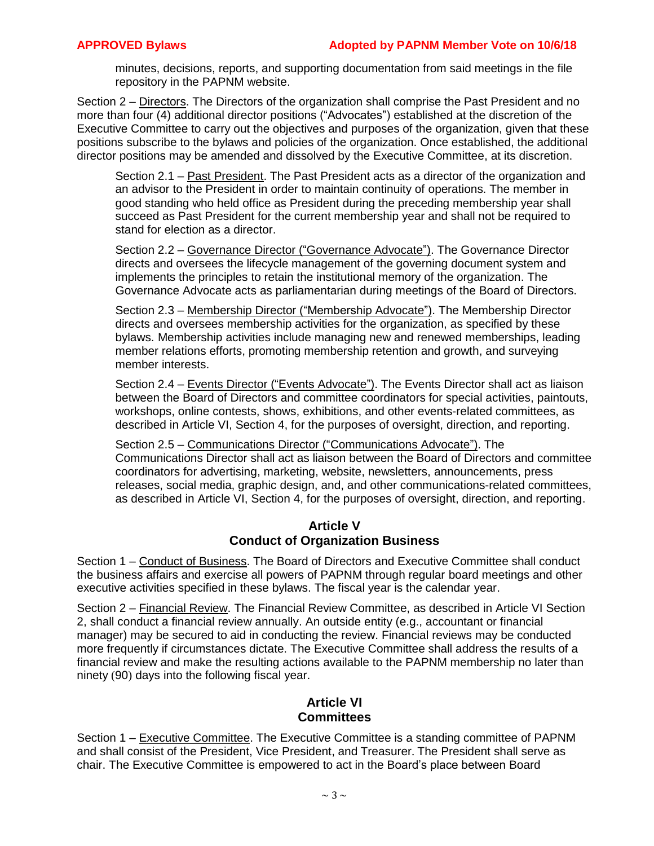minutes, decisions, reports, and supporting documentation from said meetings in the file repository in the PAPNM website.

Section 2 – Directors. The Directors of the organization shall comprise the Past President and no more than four (4) additional director positions ("Advocates") established at the discretion of the Executive Committee to carry out the objectives and purposes of the organization, given that these positions subscribe to the bylaws and policies of the organization. Once established, the additional director positions may be amended and dissolved by the Executive Committee, at its discretion.

Section 2.1 – Past President. The Past President acts as a director of the organization and an advisor to the President in order to maintain continuity of operations. The member in good standing who held office as President during the preceding membership year shall succeed as Past President for the current membership year and shall not be required to stand for election as a director.

Section 2.2 – Governance Director ("Governance Advocate"). The Governance Director directs and oversees the lifecycle management of the governing document system and implements the principles to retain the institutional memory of the organization. The Governance Advocate acts as parliamentarian during meetings of the Board of Directors.

Section 2.3 – Membership Director ("Membership Advocate"). The Membership Director directs and oversees membership activities for the organization, as specified by these bylaws. Membership activities include managing new and renewed memberships, leading member relations efforts, promoting membership retention and growth, and surveying member interests.

Section 2.4 – Events Director ("Events Advocate"). The Events Director shall act as liaison between the Board of Directors and committee coordinators for special activities, paintouts, workshops, online contests, shows, exhibitions, and other events-related committees, as described in Article VI, Section 4, for the purposes of oversight, direction, and reporting.

Section 2.5 – Communications Director ("Communications Advocate"). The Communications Director shall act as liaison between the Board of Directors and committee coordinators for advertising, marketing, website, newsletters, announcements, press releases, social media, graphic design, and, and other communications-related committees, as described in Article VI, Section 4, for the purposes of oversight, direction, and reporting.

### **Article V Conduct of Organization Business**

Section 1 – Conduct of Business. The Board of Directors and Executive Committee shall conduct the business affairs and exercise all powers of PAPNM through regular board meetings and other executive activities specified in these bylaws. The fiscal year is the calendar year.

Section 2 – Financial Review. The Financial Review Committee, as described in Article VI Section 2, shall conduct a financial review annually. An outside entity (e.g., accountant or financial manager) may be secured to aid in conducting the review. Financial reviews may be conducted more frequently if circumstances dictate. The Executive Committee shall address the results of a financial review and make the resulting actions available to the PAPNM membership no later than ninety (90) days into the following fiscal year.

### **Article VI Committees**

Section 1 – Executive Committee. The Executive Committee is a standing committee of PAPNM and shall consist of the President, Vice President, and Treasurer. The President shall serve as chair. The Executive Committee is empowered to act in the Board's place between Board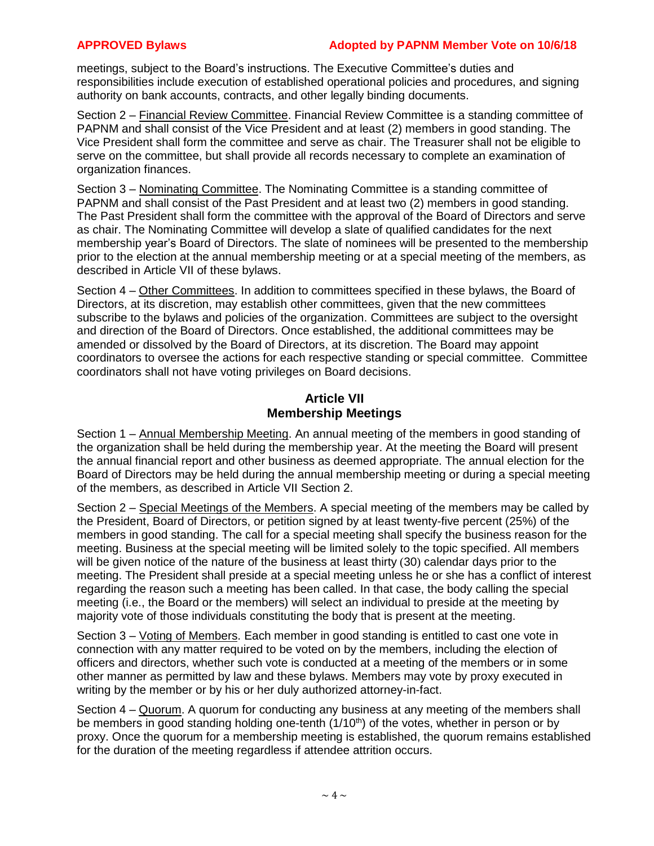meetings, subject to the Board's instructions. The Executive Committee's duties and responsibilities include execution of established operational policies and procedures, and signing authority on bank accounts, contracts, and other legally binding documents.

Section 2 – Financial Review Committee. Financial Review Committee is a standing committee of PAPNM and shall consist of the Vice President and at least (2) members in good standing. The Vice President shall form the committee and serve as chair. The Treasurer shall not be eligible to serve on the committee, but shall provide all records necessary to complete an examination of organization finances.

Section 3 – Nominating Committee. The Nominating Committee is a standing committee of PAPNM and shall consist of the Past President and at least two (2) members in good standing. The Past President shall form the committee with the approval of the Board of Directors and serve as chair. The Nominating Committee will develop a slate of qualified candidates for the next membership year's Board of Directors. The slate of nominees will be presented to the membership prior to the election at the annual membership meeting or at a special meeting of the members, as described in Article VII of these bylaws.

Section 4 – Other Committees. In addition to committees specified in these bylaws, the Board of Directors, at its discretion, may establish other committees, given that the new committees subscribe to the bylaws and policies of the organization. Committees are subject to the oversight and direction of the Board of Directors. Once established, the additional committees may be amended or dissolved by the Board of Directors, at its discretion. The Board may appoint coordinators to oversee the actions for each respective standing or special committee. Committee coordinators shall not have voting privileges on Board decisions.

## **Article VII Membership Meetings**

Section 1 – Annual Membership Meeting. An annual meeting of the members in good standing of the organization shall be held during the membership year. At the meeting the Board will present the annual financial report and other business as deemed appropriate. The annual election for the Board of Directors may be held during the annual membership meeting or during a special meeting of the members, as described in Article VII Section 2.

Section 2 – Special Meetings of the Members. A special meeting of the members may be called by the President, Board of Directors, or petition signed by at least twenty-five percent (25%) of the members in good standing. The call for a special meeting shall specify the business reason for the meeting. Business at the special meeting will be limited solely to the topic specified. All members will be given notice of the nature of the business at least thirty (30) calendar days prior to the meeting. The President shall preside at a special meeting unless he or she has a conflict of interest regarding the reason such a meeting has been called. In that case, the body calling the special meeting (i.e., the Board or the members) will select an individual to preside at the meeting by majority vote of those individuals constituting the body that is present at the meeting.

Section 3 – Voting of Members. Each member in good standing is entitled to cast one vote in connection with any matter required to be voted on by the members, including the election of officers and directors, whether such vote is conducted at a meeting of the members or in some other manner as permitted by law and these bylaws. Members may vote by proxy executed in writing by the member or by his or her duly authorized attorney-in-fact.

Section 4 – Quorum. A quorum for conducting any business at any meeting of the members shall be members in good standing holding one-tenth  $(1/10<sup>th</sup>)$  of the votes, whether in person or by proxy. Once the quorum for a membership meeting is established, the quorum remains established for the duration of the meeting regardless if attendee attrition occurs.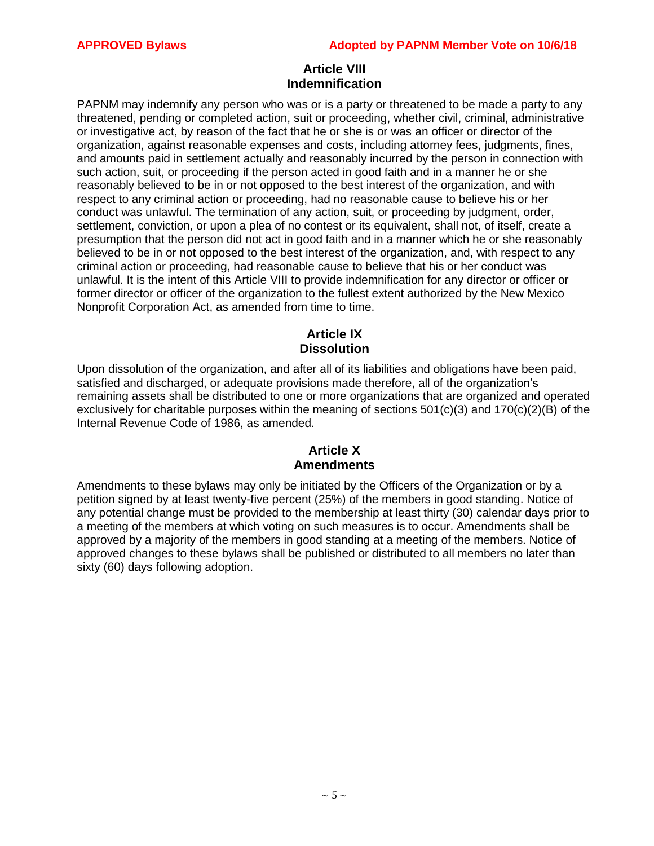### **Article VIII Indemnification**

PAPNM may indemnify any person who was or is a party or threatened to be made a party to any threatened, pending or completed action, suit or proceeding, whether civil, criminal, administrative or investigative act, by reason of the fact that he or she is or was an officer or director of the organization, against reasonable expenses and costs, including attorney fees, judgments, fines, and amounts paid in settlement actually and reasonably incurred by the person in connection with such action, suit, or proceeding if the person acted in good faith and in a manner he or she reasonably believed to be in or not opposed to the best interest of the organization, and with respect to any criminal action or proceeding, had no reasonable cause to believe his or her conduct was unlawful. The termination of any action, suit, or proceeding by judgment, order, settlement, conviction, or upon a plea of no contest or its equivalent, shall not, of itself, create a presumption that the person did not act in good faith and in a manner which he or she reasonably believed to be in or not opposed to the best interest of the organization, and, with respect to any criminal action or proceeding, had reasonable cause to believe that his or her conduct was unlawful. It is the intent of this Article VIII to provide indemnification for any director or officer or former director or officer of the organization to the fullest extent authorized by the New Mexico Nonprofit Corporation Act, as amended from time to time.

# **Article IX Dissolution**

Upon dissolution of the organization, and after all of its liabilities and obligations have been paid, satisfied and discharged, or adequate provisions made therefore, all of the organization's remaining assets shall be distributed to one or more organizations that are organized and operated exclusively for charitable purposes within the meaning of sections 501(c)(3) and 170(c)(2)(B) of the Internal Revenue Code of 1986, as amended.

### **Article X Amendments**

Amendments to these bylaws may only be initiated by the Officers of the Organization or by a petition signed by at least twenty-five percent (25%) of the members in good standing. Notice of any potential change must be provided to the membership at least thirty (30) calendar days prior to a meeting of the members at which voting on such measures is to occur. Amendments shall be approved by a majority of the members in good standing at a meeting of the members. Notice of approved changes to these bylaws shall be published or distributed to all members no later than sixty (60) days following adoption.